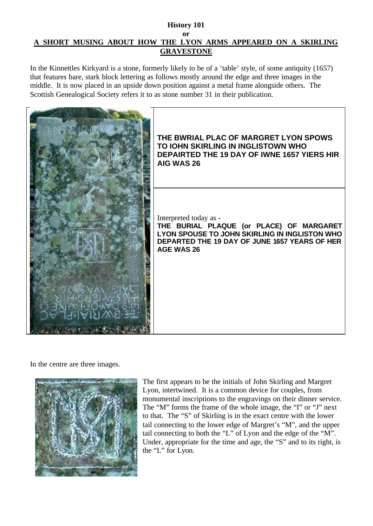## **History 101 or A SHORT MUSING ABOUT HOW THE LYON ARMS APPEARED ON A SKIRLING GRAVESTONE**

In the Kinnettles Kirkyard is a stone, formerly likely to be of a 'table' style, of some antiquity (1657) that features bare, stark block lettering as follows mostly around the edge and three images in the middle. It is now placed in an upside down position against a metal frame alongside others. The Scottish Genealogical Society refers it to as stone number 31 in their publication.



In the centre are three images.



The first appears to be the initials of John Skirling and Margret Lyon, intertwined. It is a common device for couples, from monumental inscriptions to the engravings on their dinner service. The "M" forms the frame of the whole image, the "I" or "J" next to that. The "S" of Skirling is in the exact centre with the lower tail connecting to the lower edge of Margret's "M", and the upper tail connecting to both the "L" of Lyon and the edge of the "M". Under, appropriate for the time and age, the "S" and to its right, is the "L" for Lyon.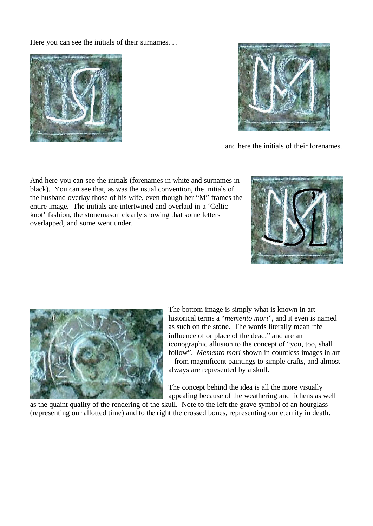Here you can see the initials of their surnames. . .





. . and here the initials of their forenames.

And here you can see the initials (forenames in white and surnames in black). You can see that, as was the usual convention, the initials of the husband overlay those of his wife, even though her "M" frames the entire image. The initials are intertwined and overlaid in a 'Celtic knot' fashion, the stonemason clearly showing that some letters overlapped, and some went under.





The bottom image is simply what is known in art historical terms a "*memento mori*", and it even is named as such on the stone. The words literally mean 'the influence of or place of the dead," and are an iconographic allusion to the concept of "you, too, shall follow". *Memento mori* shown in countless images in art – from magnificent paintings to simple crafts, and almost always are represented by a skull.

The concept behind the idea is all the more visually appealing because of the weathering and lichens as well

as the quaint quality of the rendering of the skull. Note to the left the grave symbol of an hourglass (representing our allotted time) and to the right the crossed bones, representing our eternity in death.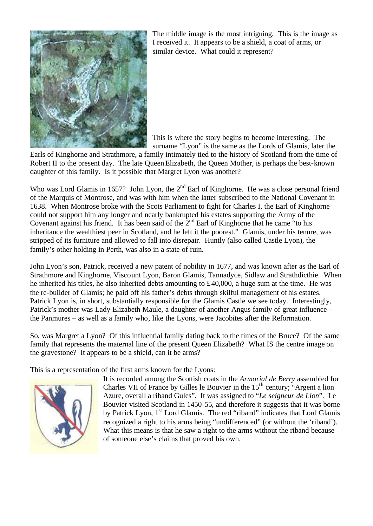

The middle image is the most intriguing. This is the image as I received it. It appears to be a shield, a coat of arms, or similar device. What could it represent?

This is where the story begins to become interesting. The surname "Lyon" is the same as the Lords of Glamis, later the

Earls of Kinghorne and Strathmore, a family intimately tied to the history of Scotland from the time of Robert II to the present day. The late Queen Elizabeth, the Queen Mother, is perhaps the best-known daughter of this family. Is it possible that Margret Lyon was another?

Who was Lord Glamis in 1657? John Lyon, the  $2<sup>nd</sup>$  Earl of Kinghorne. He was a close personal friend of the Marquis of Montrose, and was with him when the latter subscribed to the National Covenant in 1638. When Montrose broke with the Scots Parliament to fight for Charles I, the Earl of Kinghorne could not support him any longer and nearly bankrupted his estates supporting the Army of the Covenant against his friend. It has been said of the  $2<sup>nd</sup>$  Earl of Kinghorne that he came "to his inheritance the wealthiest peer in Scotland, and he left it the poorest." Glamis, under his tenure, was stripped of its furniture and allowed to fall into disrepair. Huntly (also called Castle Lyon), the family's other holding in Perth, was also in a state of ruin.

John Lyon's son, Patrick, received a new patent of nobility in 1677, and was known after as the Earl of Strathmore and Kinghorne, Viscount Lyon, Baron Glamis, Tannadyce, Sidlaw and Strathdicthie. When he inherited his titles, he also inherited debts amounting to  $\text{\pounds}40,000$ , a huge sum at the time. He was the re-builder of Glamis; he paid off his father's debts through skilful management of his estates. Patrick Lyon is, in short, substantially responsible for the Glamis Castle we see today. Interestingly, Patrick's mother was Lady Elizabeth Maule, a daughter of another Angus family of great influence – the Panmures – as well as a family who, like the Lyons, were Jacobites after the Reformation.

So, was Margret a Lyon? Of this influential family dating back to the times of the Bruce? Of the same family that represents the maternal line of the present Queen Elizabeth? What IS the centre image on the gravestone? It appears to be a shield, can it be arms?

This is a representation of the first arms known for the Lyons:



It is recorded among the Scottish coats in the *Armorial de Berry* assembled for Charles VII of France by Gilles le Bouvier in the  $15<sup>th</sup>$  century; "Argent a lion Azure, overall a riband Gules". It was assigned to "*Le seigneur de Lion*". Le Bouvier visited Scotland in 1450-55, and therefore it suggests that it was borne by Patrick Lyon, 1<sup>st</sup> Lord Glamis. The red "riband" indicates that Lord Glamis recognized a right to his arms being "undifferenced" (or without the 'riband'). What this means is that he saw a right to the arms without the riband because of someone else's claims that proved his own.